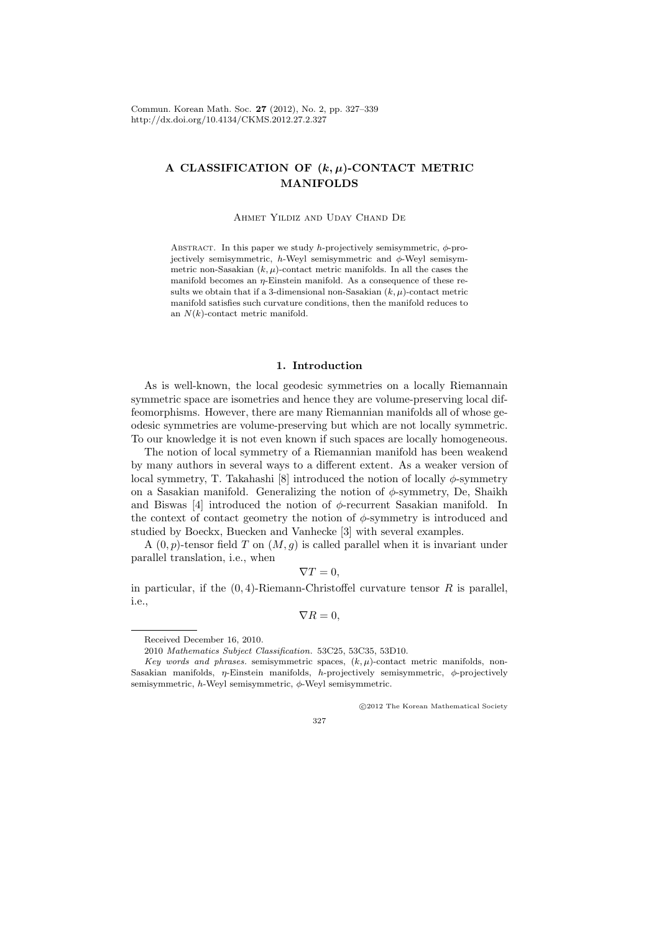Commun. Korean Math. Soc. **27** (2012), No. 2, pp. 327–339 http://dx.doi.org/10.4134/CKMS.2012.27.2.327

# **A CLASSIFICATION OF (***k, µ***)-CONTACT METRIC MANIFOLDS**

#### Ahmet Yildiz and Uday Chand De

ABSTRACT. In this paper we study *h*-projectively semisymmetric,  $\phi$ -projectively semisymmetric,  $h$ -Weyl semisymmetric and  $\phi$ -Weyl semisymmetric non-Sasakian  $(k, \mu)$ -contact metric manifolds. In all the cases the manifold becomes an *η*-Einstein manifold. As a consequence of these results we obtain that if a 3-dimensional non-Sasakian  $(k, \mu)$ -contact metric manifold satisfies such curvature conditions, then the manifold reduces to an *N*(*k*)-contact metric manifold.

#### **1. Introduction**

As is well-known, the local geodesic symmetries on a locally Riemannain symmetric space are isometries and hence they are volume-preserving local diffeomorphisms. However, there are many Riemannian manifolds all of whose geodesic symmetries are volume-preserving but which are not locally symmetric. To our knowledge it is not even known if such spaces are locally homogeneous.

The notion of local symmetry of a Riemannian manifold has been weakend by many authors in several ways to a different extent. As a weaker version of local symmetry, T. Takahashi [8] introduced the notion of locally  $\phi$ -symmetry on a Sasakian manifold. Generalizing the notion of *ϕ*-symmetry, De, Shaikh and Biswas [4] introduced the notion of *ϕ*-recurrent Sasakian manifold. In the context of contact geometry the notion of *ϕ*-symmetry is introduced and studied by Boeckx, Buecken and Vanhecke [3] with several examples.

A (0*, p*)-tensor field *T* on (*M, g*) is called parallel when it is invariant under parallel translation, i.e., when

$$
\nabla T=0,
$$

in particular, if the (0*,* 4)-Riemann-Christoffel curvature tensor *R* is parallel, i.e.,

$$
\nabla R = 0,
$$

*⃝*c 2012 The Korean Mathematical Society

Received December 16, 2010.

<sup>2010</sup> *Mathematics Subject Classification.* 53C25, 53C35, 53D10.

*Key words and phrases.* semisymmetric spaces,  $(k, \mu)$ -contact metric manifolds, non-Sasakian manifolds, *η*-Einstein manifolds, *h*-projectively semisymmetric, *ϕ*-projectively semisymmetric, *h*-Weyl semisymmetric, *ϕ*-Weyl semisymmetric.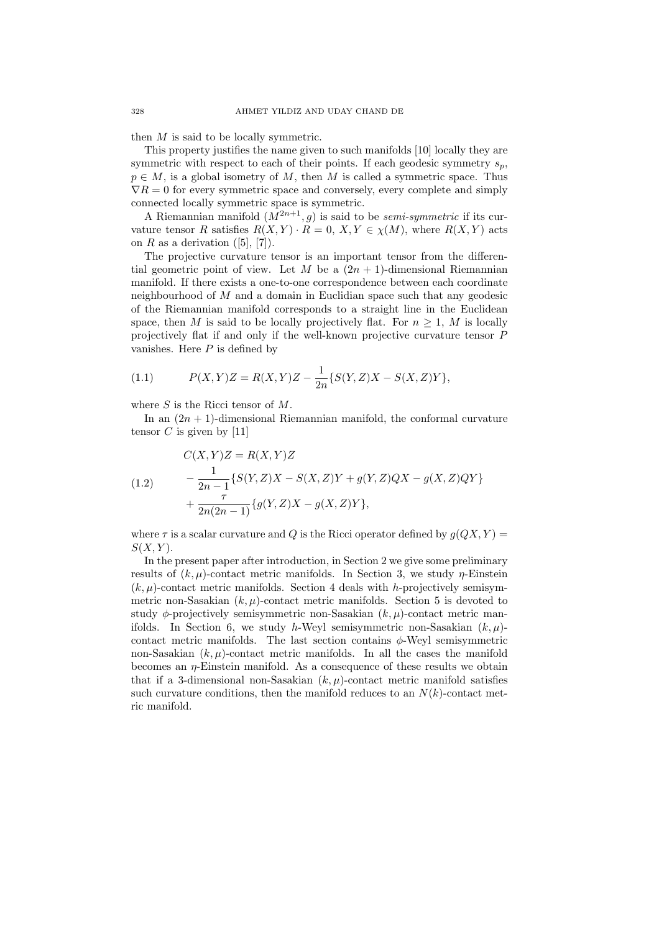then *M* is said to be locally symmetric.

This property justifies the name given to such manifolds [10] locally they are symmetric with respect to each of their points. If each geodesic symmetry  $s_p$ ,  $p \in M$ , is a global isometry of *M*, then *M* is called a symmetric space. Thus  $\nabla R = 0$  for every symmetric space and conversely, every complete and simply connected locally symmetric space is symmetric.

A Riemannian manifold  $(M^{2n+1}, g)$  is said to be *semi-symmetric* if its curvature tensor *R* satisfies  $R(X, Y) \cdot R = 0, X, Y \in \chi(M)$ , where  $R(X, Y)$  acts on  $R$  as a derivation  $([5], [7])$ .

The projective curvature tensor is an important tensor from the differential geometric point of view. Let *M* be a  $(2n + 1)$ -dimensional Riemannian manifold. If there exists a one-to-one correspondence between each coordinate neighbourhood of *M* and a domain in Euclidian space such that any geodesic of the Riemannian manifold corresponds to a straight line in the Euclidean space, then *M* is said to be locally projectively flat. For  $n \geq 1$ , *M* is locally projectively flat if and only if the well-known projective curvature tensor *P* vanishes. Here *P* is defined by

(1.1) 
$$
P(X,Y)Z = R(X,Y)Z - \frac{1}{2n}\{S(Y,Z)X - S(X,Z)Y\},
$$

where *S* is the Ricci tensor of *M*.

In an  $(2n + 1)$ -dimensional Riemannian manifold, the conformal curvature tensor  $C$  is given by [11]

(1.2) 
$$
C(X, Y)Z = R(X, Y)Z
$$

$$
- \frac{1}{2n - 1} \{ S(Y, Z)X - S(X, Z)Y + g(Y, Z)QX - g(X, Z)QY \} + \frac{\tau}{2n(2n - 1)} \{ g(Y, Z)X - g(X, Z)Y \},
$$

where  $\tau$  is a scalar curvature and *Q* is the Ricci operator defined by  $q(QX, Y)$  = *S*(*X, Y* ).

In the present paper after introduction, in Section 2 we give some preliminary results of  $(k, \mu)$ -contact metric manifolds. In Section 3, we study *η*-Einstein  $(k, \mu)$ -contact metric manifolds. Section 4 deals with *h*-projectively semisymmetric non-Sasakian  $(k, \mu)$ -contact metric manifolds. Section 5 is devoted to study *ϕ*-projectively semisymmetric non-Sasakian (*k, µ*)-contact metric manifolds. In Section 6, we study *h*-Weyl semisymmetric non-Sasakian (*k, µ*) contact metric manifolds. The last section contains *ϕ*-Weyl semisymmetric non-Sasakian  $(k, \mu)$ -contact metric manifolds. In all the cases the manifold becomes an  $\eta$ -Einstein manifold. As a consequence of these results we obtain that if a 3-dimensional non-Sasakian  $(k, \mu)$ -contact metric manifold satisfies such curvature conditions, then the manifold reduces to an  $N(k)$ -contact metric manifold.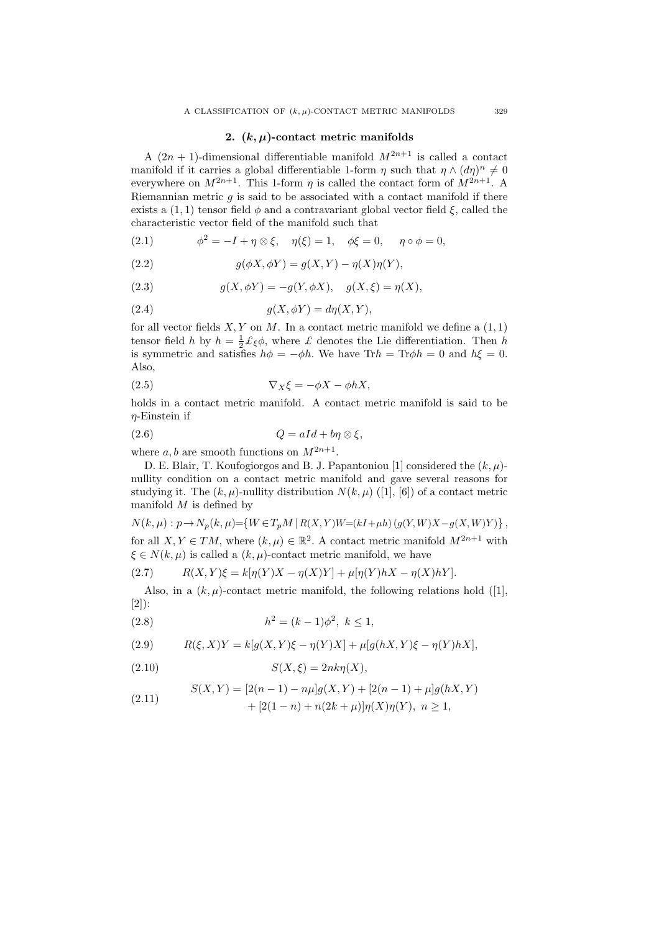### **2. (***k, µ***)-contact metric manifolds**

A  $(2n + 1)$ -dimensional differentiable manifold  $M^{2n+1}$  is called a contact manifold if it carries a global differentiable 1-form  $\eta$  such that  $\eta \wedge (d\eta)^n \neq 0$ everywhere on  $M^{2n+1}$ . This 1-form *η* is called the contact form of  $M^{2n+1}$ . A Riemannian metric *g* is said to be associated with a contact manifold if there exists a  $(1, 1)$  tensor field  $\phi$  and a contravariant global vector field  $\xi$ , called the characteristic vector field of the manifold such that

 $(2.1)$  $\phi^2 = -I + \eta \otimes \xi$ ,  $\eta(\xi) = 1$ ,  $\phi\xi = 0$ ,  $\eta \circ \phi = 0$ ,

(2.2) 
$$
g(\phi X, \phi Y) = g(X, Y) - \eta(X)\eta(Y),
$$

(2.3) 
$$
g(X, \phi Y) = -g(Y, \phi X), \quad g(X, \xi) = \eta(X),
$$

$$
(2.4) \t\t g(X, \phi Y) = d\eta(X, Y),
$$

for all vector fields  $X, Y$  on  $M$ . In a contact metric manifold we define a  $(1, 1)$ tensor field *h* by  $h = \frac{1}{2} \mathcal{L}_{\xi} \phi$ , where *£* denotes the Lie differentiation. Then *h* is symmetric and satisfies  $h\phi = -\phi h$ . We have Tr $h = \text{Tr}\phi h = 0$  and  $h\xi = 0$ . Also,

$$
\nabla_X \xi = -\phi X - \phi h X,
$$

holds in a contact metric manifold. A contact metric manifold is said to be *η*-Einstein if

$$
(2.6) \tQ = aId + b\eta \otimes \xi,
$$

where  $a, b$  are smooth functions on  $M^{2n+1}$ .

D. E. Blair, T. Koufogiorgos and B. J. Papantoniou [1] considered the (*k, µ*) nullity condition on a contact metric manifold and gave several reasons for studying it. The  $(k, \mu)$ -nullity distribution  $N(k, \mu)$  ([1], [6]) of a contact metric manifold *M* is defined by

$$
N(k,\mu): p \to N_p(k,\mu) = \{ W \in T_p M \mid R(X,Y)W = (kI + \mu h) (g(Y,W)X - g(X,W)Y) \},
$$
 for all  $X, Y \in TM$ , where  $(k,\mu) \in \mathbb{R}^2$ . A contact metric manifold  $M^{2n+1}$  with  $\xi \in N(k,\mu)$  is called a  $(k,\mu)$ -contact metric manifold, we have

(2.7) 
$$
R(X,Y)\xi = k[\eta(Y)X - \eta(X)Y] + \mu[\eta(Y)hX - \eta(X)hY].
$$

Also, in a  $(k, \mu)$ -contact metric manifold, the following relations hold ([1], [2]):

(2.8) 
$$
h^2 = (k-1)\phi^2, \ k \le 1,
$$

(2.9) 
$$
R(\xi, X)Y = k[g(X, Y)\xi - \eta(Y)X] + \mu[g(hX, Y)\xi - \eta(Y)hX],
$$

$$
(2.10) \t S(X,\xi) = 2nk\eta(X),
$$

(2.11) 
$$
S(X,Y) = [2(n-1) - n\mu]g(X,Y) + [2(n-1) + \mu]g(hX,Y) + [2(1-n) + n(2k+\mu)]\eta(X)\eta(Y), \quad n \ge 1,
$$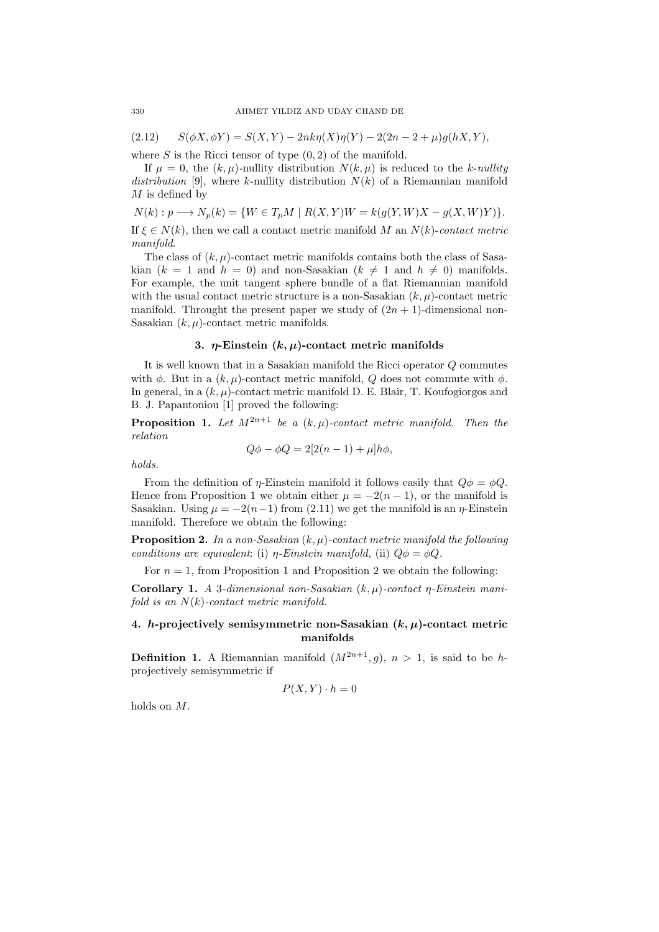$S(\phi X, \phi Y) = S(X, Y) - 2nk\eta(X)\eta(Y) - 2(2n - 2 + \mu)g(hX, Y)$ 

where *S* is the Ricci tensor of type (0*,* 2) of the manifold.

If  $\mu = 0$ , the  $(k, \mu)$ -nullity distribution  $N(k, \mu)$  is reduced to the *k*-*nullity* distribution [9], where *k*-nullity distribution  $N(k)$  of a Riemannian manifold *M* is defined by

 $N(k): p \longrightarrow N_p(k) = \{W \in T_pM \mid R(X,Y)W = k(q(Y,W)X - q(X,W)Y)\}.$ 

If  $\xi \in N(k)$ , then we call a contact metric manifold *M* an  $N(k)$ -*contact metric manifold*.

The class of  $(k, \mu)$ -contact metric manifolds contains both the class of Sasakian  $(k = 1 \text{ and } h = 0)$  and non-Sasakian  $(k \neq 1 \text{ and } h \neq 0)$  manifolds. For example, the unit tangent sphere bundle of a flat Riemannian manifold with the usual contact metric structure is a non-Sasakian  $(k, \mu)$ -contact metric manifold. Throught the present paper we study of  $(2n + 1)$ -dimensional non-Sasakian  $(k, \mu)$ -contact metric manifolds.

### **3.** *η***-Einstein (***k, µ***)-contact metric manifolds**

It is well known that in a Sasakian manifold the Ricci operator *Q* commutes with  $\phi$ . But in a  $(k, \mu)$ -contact metric manifold, *Q* does not commute with  $\phi$ . In general, in a  $(k, \mu)$ -contact metric manifold D. E. Blair, T. Koufogiorgos and B. J. Papantoniou [1] proved the following:

**Proposition 1.** Let  $M^{2n+1}$  be a  $(k,\mu)$ -contact metric manifold. Then the *relation*

$$
Q\phi - \phi Q = 2[2(n-1) + \mu]h\phi,
$$

*holds.*

From the definition of *η*-Einstein manifold it follows easily that  $Q\phi = \phi Q$ . Hence from Proposition 1 we obtain either  $\mu = -2(n-1)$ , or the manifold is Sasakian. Using  $\mu = -2(n-1)$  from (2.11) we get the manifold is an *η*-Einstein manifold. Therefore we obtain the following:

**Proposition 2.** *In a non-Sasakian* (*k, µ*)*-contact metric manifold the following conditions are equivalent:* (i) *η-Einstein manifold,* (ii)  $Q\phi = \phi Q$ *.* 

For  $n = 1$ , from Proposition 1 and Proposition 2 we obtain the following:

**Corollary 1.** *A* 3*-dimensional non-Sasakian* (*k, µ*)*-contact η-Einstein manifold is an N*(*k*)*-contact metric manifold.*

# **4.** *h***-projectively semisymmetric non-Sasakian (***k, µ***)-contact metric manifolds**

**Definition 1.** A Riemannian manifold  $(M^{2n+1}, g)$ ,  $n > 1$ , is said to be *h*projectively semisymmetric if

$$
P(X, Y) \cdot h = 0
$$

holds on *M*.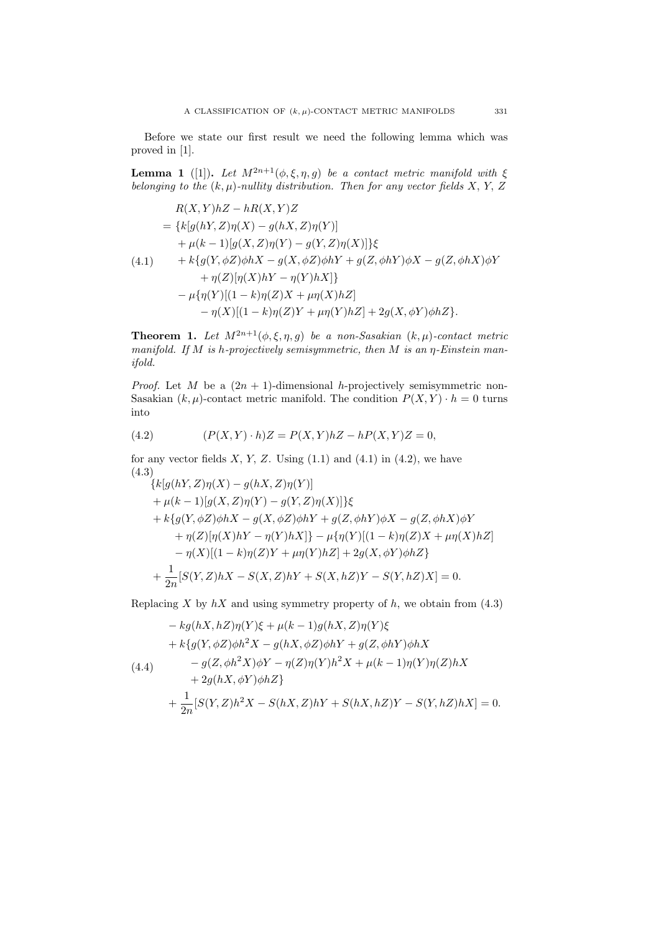Before we state our first result we need the following lemma which was proved in [1].

**Lemma 1** ([1]). *Let*  $M^{2n+1}(\phi, \xi, \eta, g)$  *be a contact metric manifold with*  $\xi$ *belonging to the* (*k, µ*)*-nullity distribution. Then for any vector fields X, Y, Z*

$$
R(X,Y)hZ - hR(X,Y)Z
$$
  
= {k[g(hY, Z)\eta(X) - g(hX, Z)\eta(Y)]  
+  $\mu(k-1)[g(X, Z)\eta(Y) - g(Y, Z)\eta(X)]$ } $\xi$   
(4.1) + k{g(Y, φZ)φhX - g(X, φZ)φhY + g(Z, φhY)φX - g(Z, φhX)φY  
+  $\eta(Z)[\eta(X)hY - \eta(Y)hX]$ }  
-  $\mu{\eta(Y)[(1 - k)\eta(Z)X + \mu\eta(X)hZ]}$   
-  $\eta(X)[(1 - k)\eta(Z)Y + \mu\eta(Y)hZ] + 2g(X, φY)φhZ}.$ 

**Theorem 1.** *Let*  $M^{2n+1}(\phi, \xi, \eta, g)$  *be a non-Sasakian*  $(k, \mu)$ *-contact metric manifold. If M is h-projectively semisymmetric, then M is an η-Einstein manifold.*

*Proof.* Let *M* be a  $(2n + 1)$ -dimensional *h*-projectively semisymmetric non-Sasakian  $(k, \mu)$ -contact metric manifold. The condition  $P(X, Y) \cdot h = 0$  turns into

(4.2) 
$$
(P(X, Y) \cdot h)Z = P(X, Y)hZ - hP(X, Y)Z = 0,
$$

for any vector fields  $X, Y, Z$ . Using  $(1.1)$  and  $(4.1)$  in  $(4.2)$ , we have (4.3)

$$
\{k[g(hY, Z)\eta(X) - g(hX, Z)\eta(Y)]+ \mu(k-1)[g(X, Z)\eta(Y) - g(Y, Z)\eta(X)]\}\xi+ k\{g(Y, \phi Z)\phi hX - g(X, \phi Z)\phi hY + g(Z, \phi hY)\phi X - g(Z, \phi hX)\phi Y+ \eta(Z)[\eta(X)hY - \eta(Y)hX]\} - \mu\{\eta(Y)[(1 - k)\eta(Z)X + \mu\eta(X)hZ] - \eta(X)[(1 - k)\eta(Z)Y + \mu\eta(Y)hZ] + 2g(X, \phi Y)\phi hZ\}+ \frac{1}{2n}[S(Y, Z)hX - S(X, Z)hY + S(X, hZ)Y - S(Y, hZ)X] = 0.
$$

Replacing *X* by  $hX$  and using symmetry property of  $h$ , we obtain from (4.3)

$$
- kg(hX, hZ)\eta(Y)\xi + \mu(k-1)g(hX, Z)\eta(Y)\xi + k\{g(Y, \phi Z)\phi h^2X - g(hX, \phi Z)\phi hY + g(Z, \phi hY)\phi hX - g(Z, \phi h^2X)\phi Y - \eta(Z)\eta(Y)h^2X + \mu(k-1)\eta(Y)\eta(Z)hX + 2g(hX, \phi Y)\phi hZ \} + \frac{1}{2n}[S(Y, Z)h^2X - S(hX, Z)hY + S(hX, hZ)Y - S(Y, hZ)hX] = 0.
$$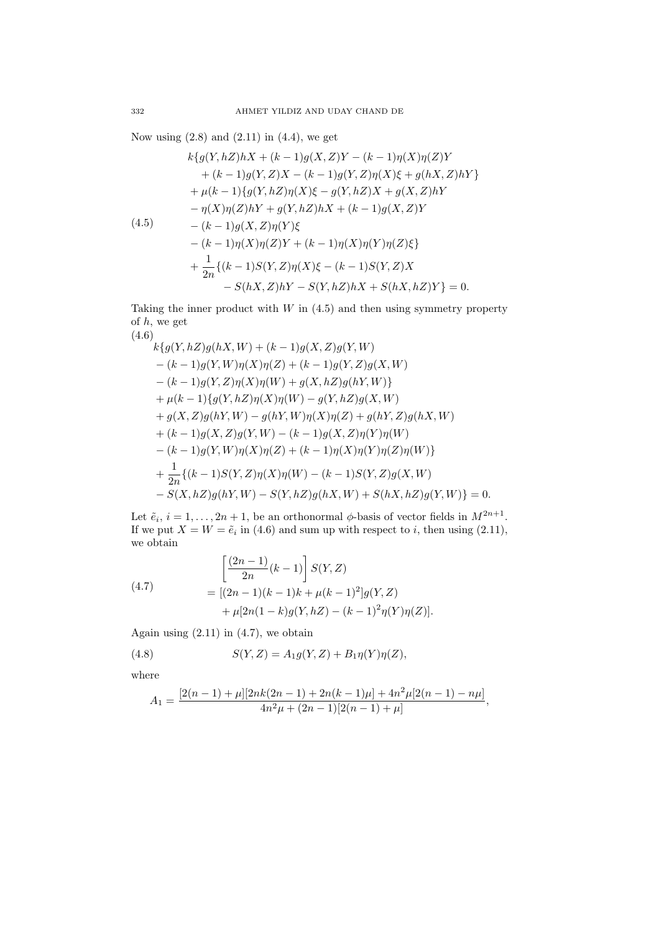Now using  $(2.8)$  and  $(2.11)$  in  $(4.4)$ , we get

$$
k\{g(Y, hZ)hX + (k-1)g(X, Z)Y - (k-1)\eta(X)\eta(Z)Y + (k-1)g(Y, Z)X - (k-1)g(Y, Z)\eta(X)\xi + g(hX, Z)hY \} + \mu(k-1)\{g(Y, hZ)\eta(X)\xi - g(Y, hZ)X + g(X, Z)hY - \eta(X)\eta(Z)hY + g(Y, hZ)hX + (k-1)g(X, Z)Y - (k-1)g(X, Z)\eta(Y)\xi - (k-1)\eta(X)\eta(Z)Y + (k-1)\eta(X)\eta(Y)\eta(Z)\xi \} + \frac{1}{2n}\{(k-1)S(Y, Z)\eta(X)\xi - (k-1)S(Y, Z)X - S(hX, Z)hY - S(Y, hZ)hX + S(hX, hZ)Y\} = 0.
$$

Taking the inner product with  $W$  in  $(4.5)$  and then using symmetry property of *h*, we get  $(4.6)$ 

$$
k\{g(Y,hZ)g(hX,W) + (k-1)g(X,Z)g(Y,W) - (k-1)g(Y,W)\eta(X)\eta(Z) + (k-1)g(Y,Z)g(X,W) - (k-1)g(Y,Z)\eta(X)\eta(W) + g(X,hZ)g(hY,W) \} + \mu(k-1)\{g(Y,hZ)\eta(X)\eta(W) - g(Y,hZ)g(X,W) + g(X,Z)g(hY,W) - g(hY,W)\eta(X)\eta(Z) + g(hY,Z)g(hX,W) + (k-1)g(X,Z)g(Y,W) - (k-1)g(X,Z)\eta(Y)\eta(W) - (k-1)g(Y,W)\eta(X)\eta(Z) + (k-1)\eta(X)\eta(Y)\eta(Z)\eta(W) \} + \frac{1}{2n}\{(k-1)S(Y,Z)\eta(X)\eta(W) - (k-1)S(Y,Z)g(X,W) - S(X,hZ)g(hY,W) - S(Y,hZ)g(hX,W) + S(hX,hZ)g(Y,W) \} = 0.
$$

Let  $\tilde{e}_i$ ,  $i = 1, \ldots, 2n + 1$ , be an orthonormal  $\phi$ -basis of vector fields in  $M^{2n+1}$ . If we put  $X = W = \tilde{e}_i$  in (4.6) and sum up with respect to *i*, then using (2.11), we obtain

(4.7)  
\n
$$
\begin{aligned}\n&\left[\frac{(2n-1)}{2n}(k-1)\right]S(Y,Z) \\
&= [(2n-1)(k-1)k + \mu(k-1)^2]g(Y,Z) \\
&+ \mu[2n(1-k)g(Y,hZ) - (k-1)^2\eta(Y)\eta(Z)].\n\end{aligned}
$$

Again using  $(2.11)$  in  $(4.7)$ , we obtain

(4.8) 
$$
S(Y,Z) = A_1 g(Y,Z) + B_1 \eta(Y) \eta(Z),
$$

where

$$
A_1=\frac{[2(n-1)+\mu][2nk(2n-1)+2n(k-1)\mu]+4n^2\mu[2(n-1)-n\mu]}{4n^2\mu+(2n-1)[2(n-1)+\mu]},
$$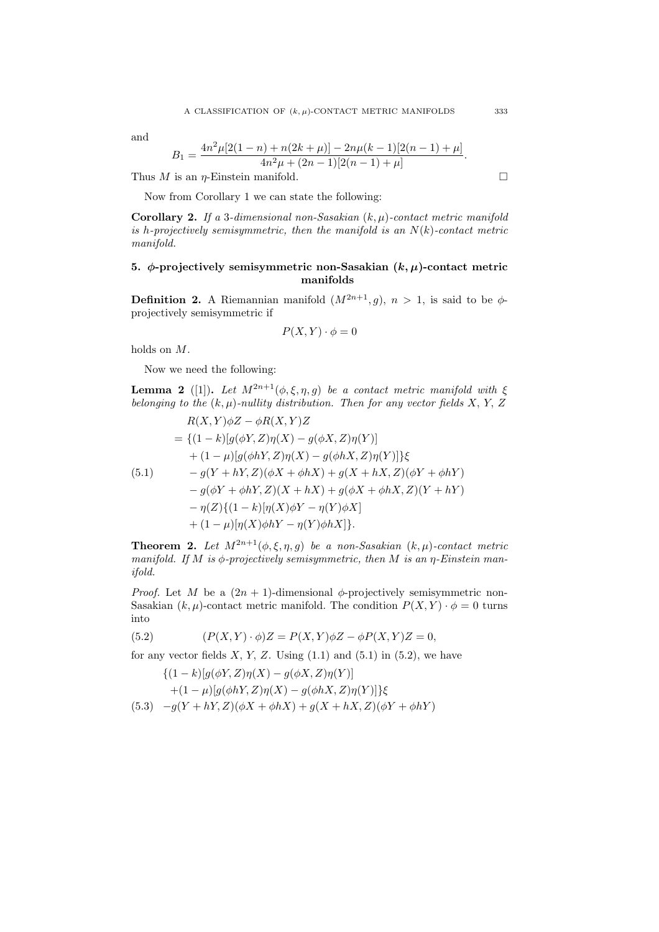and

$$
B_1 = \frac{4n^2\mu[2(1-n) + n(2k+\mu)] - 2n\mu(k-1)[2(n-1)+\mu]}{4n^2\mu + (2n-1)[2(n-1)+\mu]}
$$

Thus *M* is an *η*-Einstein manifold.  $\square$ 

Now from Corollary 1 we can state the following:

**Corollary 2.** *If a* 3*-dimensional non-Sasakian* (*k, µ*)*-contact metric manifold is h-projectively semisymmetric, then the manifold is an N*(*k*)*-contact metric manifold.*

### **5.**  $\phi$ -projectively semisymmetric non-Sasakian  $(k, \mu)$ -contact metric **manifolds**

**Definition 2.** A Riemannian manifold  $(M^{2n+1}, g)$ ,  $n > 1$ , is said to be  $\phi$ projectively semisymmetric if

$$
P(X,Y) \cdot \phi = 0
$$

holds on *M*.

Now we need the following:

**Lemma 2** ([1]). *Let*  $M^{2n+1}(\phi, \xi, \eta, g)$  *be a contact metric manifold with*  $\xi$ *belonging to the* (*k, µ*)*-nullity distribution. Then for any vector fields X, Y, Z*

$$
R(X,Y)\phi Z - \phi R(X,Y)Z
$$
  
= { $(1 - k)[g(\phi Y, Z)\eta(X) - g(\phi X, Z)\eta(Y)]$   
+  $(1 - \mu)[g(\phi hY, Z)\eta(X) - g(\phi hX, Z)\eta(Y)]$ } $\xi$   
(5.1)  $-g(Y + hY, Z)(\phi X + \phi hX) + g(X + hX, Z)(\phi Y + \phi hY)$   
 $- g(\phi Y + \phi hY, Z)(X + hX) + g(\phi X + \phi hX, Z)(Y + hY)$   
 $- \eta(Z)\{(1 - k)[\eta(X)\phi Y - \eta(Y)\phi X]$   
+  $(1 - \mu)[\eta(X)\phi hY - \eta(Y)\phi hX]\}.$ 

**Theorem 2.** *Let*  $M^{2n+1}(\phi, \xi, \eta, g)$  *be a non-Sasakian*  $(k, \mu)$ *-contact metric manifold. If M is ϕ-projectively semisymmetric, then M is an η-Einstein manifold.*

*Proof.* Let *M* be a  $(2n + 1)$ -dimensional  $\phi$ -projectively semisymmetric non-Sasakian  $(k, \mu)$ -contact metric manifold. The condition  $P(X, Y) \cdot \phi = 0$  turns into

(5.2) 
$$
(P(X,Y) \cdot \phi)Z = P(X,Y)\phi Z - \phi P(X,Y)Z = 0,
$$

for any vector fields  $X, Y, Z$ . Using  $(1.1)$  and  $(5.1)$  in  $(5.2)$ , we have

$$
\{(1-k)[g(\phi Y, Z)\eta(X) - g(\phi X, Z)\eta(Y)]+(1-\mu)[g(\phi hY, Z)\eta(X) - g(\phi hX, Z)\eta(Y)]\}\xi(5.3) -g(Y + hY, Z)(\phi X + \phi hX) + g(X + hX, Z)(\phi Y + \phi hY)
$$

*.*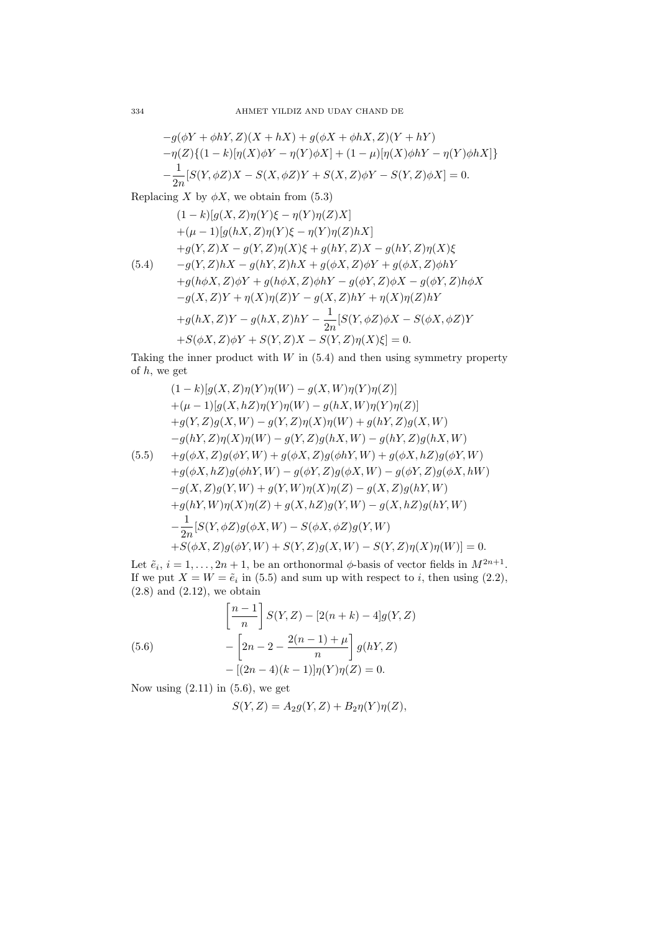$$
-g(\phi Y + \phi hY, Z)(X + hX) + g(\phi X + \phi hX, Z)(Y + hY)
$$
  

$$
-\eta(Z)\{(1 - k)[\eta(X)\phi Y - \eta(Y)\phi X] + (1 - \mu)[\eta(X)\phi hY - \eta(Y)\phi hX]\}
$$
  

$$
-\frac{1}{2n}[S(Y, \phi Z)X - S(X, \phi Z)Y + S(X, Z)\phi Y - S(Y, Z)\phi X] = 0.
$$

Replacing *X* by  $\phi X$ , we obtain from (5.3)

$$
(1 - k)[g(X, Z)\eta(Y)\xi - \eta(Y)\eta(Z)X] + (\mu - 1)[g(hX, Z)\eta(Y)\xi - \eta(Y)\eta(Z)hX] + g(Y, Z)X - g(Y, Z)\eta(X)\xi + g(hY, Z)X - g(hY, Z)\eta(X)\xi - g(Y, Z)hX - g(hY, Z)hX + g(\phi X, Z)\phi Y + g(\phi X, Z)\phi hY + g(h\phi X, Z)\phi Y + g(h\phi X, Z)\phi hY - g(\phi Y, Z)\phi X - g(\phi Y, Z)h\phi X - g(X, Z)Y + \eta(X)\eta(Z)Y - g(X, Z)hY + \eta(X)\eta(Z)hY + g(hX, Z)Y - g(hX, Z)hY - \frac{1}{2n}[S(Y, \phi Z)\phi X - S(\phi X, \phi Z)Y + S(\phi X, Z)\phi Y + S(Y, Z)X - S(Y, Z)\eta(X)\xi] = 0.
$$

Taking the inner product with  $W$  in  $(5.4)$  and then using symmetry property of *h*, we get

$$
(1 - k)[g(X, Z)\eta(Y)\eta(W) - g(X, W)\eta(Y)\eta(Z)] + (\mu - 1)[g(X, hZ)\eta(Y)\eta(W) - g(hX, W)\eta(Y)\eta(Z)]+ g(Y, Z)g(X, W) - g(Y, Z)\eta(X)\eta(W) + g(hY, Z)g(X, W)- g(hY, Z)\eta(X)\eta(W) - g(Y, Z)g(hX, W) - g(hY, Z)g(hX, W)(5.5) + g(\phi X, Z)g(\phi Y, W) + g(\phi X, Z)g(\phi hY, W) + g(\phi X, hZ)g(\phi Y, W)
$$

+
$$
g(\phi X, hZ)g(\phi hY, W) - g(\phi Y, Z)g(\phi X, W) - g(\phi Y, Z)g(\phi X, hW)
$$
  
\n $-g(X, Z)g(Y, W) + g(Y, W)\eta(X)\eta(Z) - g(X, Z)g(hY, W)$   
\n $+g(hY, W)\eta(X)\eta(Z) + g(X, hZ)g(Y, W) - g(X, hZ)g(hY, W)$   
\n $- \frac{1}{2n}[S(Y, \phi Z)g(\phi X, W) - S(\phi X, \phi Z)g(Y, W)$   
\n $+S(\phi X, Z)g(\phi Y, W) + S(Y, Z)g(X, W) - S(Y, Z)\eta(X)\eta(W)] = 0.$ 

Let  $\tilde{e}_i$ ,  $i = 1, \ldots, 2n + 1$ , be an orthonormal  $\phi$ -basis of vector fields in  $M^{2n+1}$ . If we put  $X = W = \tilde{e}_i$  in (5.5) and sum up with respect to *i*, then using (2.2),  $(2.8)$  and  $(2.12)$ , we obtain

(5.6) 
$$
\left[\frac{n-1}{n}\right] S(Y,Z) - [2(n+k) - 4]g(Y,Z) - \left[2n - 2 - \frac{2(n-1) + \mu}{n}\right] g(hY,Z) - [(2n-4)(k-1)]\eta(Y)\eta(Z) = 0.
$$

Now using  $(2.11)$  in  $(5.6)$ , we get

$$
S(Y, Z) = A_2 g(Y, Z) + B_2 \eta(Y) \eta(Z),
$$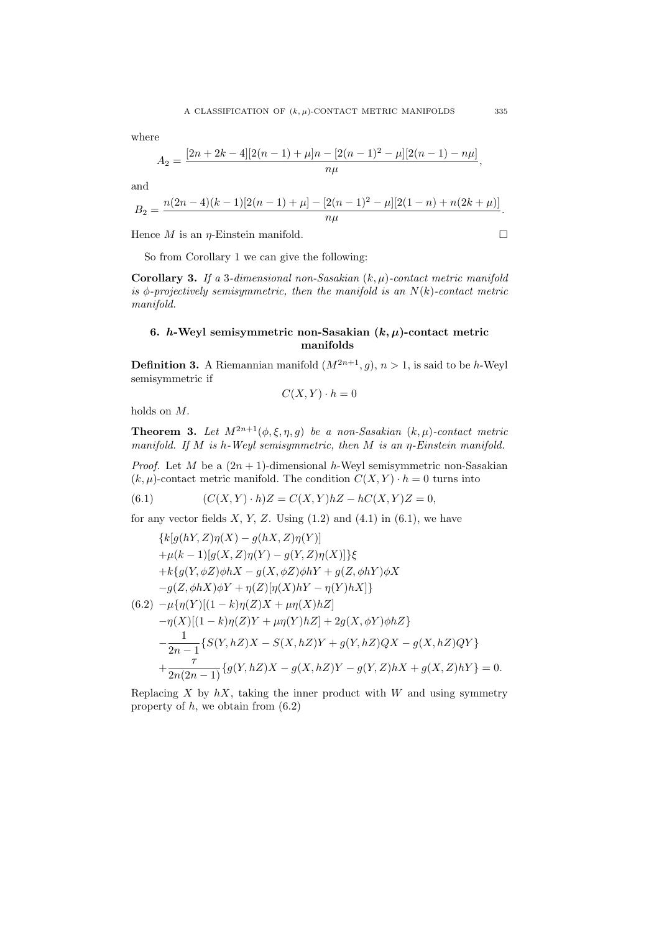where

$$
A_2 = \frac{[2n+2k-4][2(n-1)+\mu]n - [2(n-1)^2 - \mu][2(n-1) - n\mu]}{n\mu},
$$

and

$$
B_2=\frac{n(2n-4)(k-1)[2(n-1)+\mu]-[2(n-1)^2-\mu][2(1-n)+n(2k+\mu)]}{n\mu}.
$$

Hence *M* is an *η*-Einstein manifold.  $\square$ 

So from Corollary 1 we can give the following:

**Corollary 3.** *If a* 3*-dimensional non-Sasakian* (*k, µ*)*-contact metric manifold*  $i\in \Phi$ -projectively semisymmetric, then the manifold is an  $N(k)$ -contact metric *manifold.*

### **6.** *h*-Weyl semisymmetric non-Sasakian  $(k, \mu)$ -contact metric **manifolds**

**Definition 3.** A Riemannian manifold  $(M^{2n+1}, g)$ ,  $n > 1$ , is said to be *h*-Weyl semisymmetric if

$$
C(X,Y) \cdot h = 0
$$

holds on *M.*

**Theorem 3.** *Let*  $M^{2n+1}(\phi, \xi, \eta, g)$  *be a non-Sasakian*  $(k, \mu)$ *-contact metric manifold. If M is h-Weyl semisymmetric, then M is an η-Einstein manifold.*

*Proof.* Let *M* be a  $(2n + 1)$ -dimensional *h*-Weyl semisymmetric non-Sasakian  $(k, \mu)$ -contact metric manifold. The condition  $C(X, Y) \cdot h = 0$  turns into

(6.1) 
$$
(C(X,Y)\cdot h)Z = C(X,Y)hZ - hC(X,Y)Z = 0,
$$

for any vector fields  $X, Y, Z$ . Using  $(1.2)$  and  $(4.1)$  in  $(6.1)$ , we have

$$
\{k[g(hY, Z)\eta(X) - g(hX, Z)\eta(Y)]+\mu(k-1)[g(X, Z)\eta(Y) - g(Y, Z)\eta(X)]\}\xi+ k\{g(Y, \phi Z)\phi hX - g(X, \phi Z)\phi hY + g(Z, \phi hY)\phi X-g(Z, \phi hX)\phi Y + \eta(Z)[\eta(X)hY - \eta(Y)hX]\}
$$
  
(6.2)  $-\mu\{\eta(Y)[(1-k)\eta(Z)X + \mu\eta(X)hZ]$   
 $-\eta(X)[(1-k)\eta(Z)Y + \mu\eta(Y)hZ] + 2g(X, \phi Y)\phi hZ\}$   
 $-\frac{1}{2n-1}\{S(Y, hZ)X - S(X, hZ)Y + g(Y, hZ)QX - g(X, hZ)QY\}$   
 $+\frac{\tau}{2n(2n-1)}\{g(Y, hZ)X - g(X, hZ)Y - g(Y, Z)hX + g(X, Z)hY\} = 0.$ 

Replacing  $X$  by  $hX$ , taking the inner product with  $W$  and using symmetry property of *h*, we obtain from (6.2)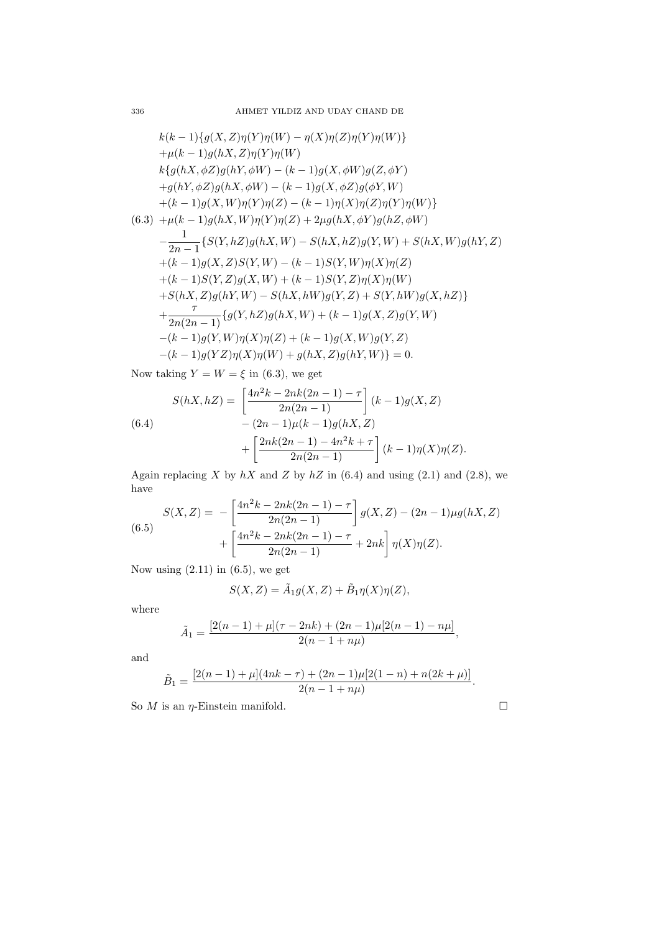$$
k(k-1){g(X, Z)\eta(Y)\eta(W) - \eta(X)\eta(Z)\eta(Y)\eta(W)}+ \mu(k-1)g(hX, Z)\eta(Y)\eta(W)k{g(hX, \phi Z)g(hY, \phi W) - (k-1)g(X, \phi W)g(Z, \phi Y)+g(hY, \phi Z)g(hX, \phi W) - (k-1)g(X, \phi Z)g(\phi Y, W)+(k-1)g(X, W)\eta(Y)\eta(Z) - (k-1)\eta(X)\eta(Z)\eta(Y)\eta(W)(6.3) + \mu(k-1)g(hX, W)\eta(Y)\eta(Z) + 2\mu g(hX, \phi Y)g(hZ, \phi W)-\frac{1}{2n-1}{S(Y, hZ)g(hX, W) - S(hX, hZ)g(Y, W) + S(hX, W)g(hY, Z)+(k-1)g(X, Z)S(Y, W) - (k-1)S(Y, W)\eta(X)\eta(Z)+(k-1)S(Y, Z)g(X, W) + (k-1)S(Y, Z)\eta(X)\eta(W)+S(hX, Z)g(hY, W) - S(hX, hW)g(Y, Z) + S(Y, hW)g(X, hZ)+\frac{7}{2n(2n-1)}{g(Y, hZ)g(hX, W) + (k-1)g(X, Z)g(Y, W)-(k-1)g(Y, W)\eta(X)\eta(Z) + (k-1)g(X, W)g(Y, Z)-(k-1)g(YZ)\eta(X)\eta(W) + g(hX, Z)g(hY, W) = 0.
$$

Now taking  $Y = W = \xi$  in (6.3), we get

$$
S(hX, hZ) = \left[\frac{4n^2k - 2nk(2n - 1) - \tau}{2n(2n - 1)}\right](k - 1)g(X, Z)
$$
  
(6.4)
$$
- (2n - 1)\mu(k - 1)g(hX, Z)
$$

$$
+ \left[\frac{2nk(2n - 1) - 4n^2k + \tau}{2n(2n - 1)}\right](k - 1)\eta(X)\eta(Z).
$$

Again replacing  $X$  by  $hX$  and  $Z$  by  $hZ$  in (6.4) and using (2.1) and (2.8), we have

(6.5)  

$$
S(X, Z) = -\left[\frac{4n^2k - 2nk(2n - 1) - \tau}{2n(2n - 1)}\right]g(X, Z) - (2n - 1)\mu g(hX, Z) + \left[\frac{4n^2k - 2nk(2n - 1) - \tau}{2n(2n - 1)} + 2nk\right]\eta(X)\eta(Z).
$$

Now using  $(2.11)$  in  $(6.5)$ , we get

$$
S(X,Z) = \tilde{A}_1 g(X,Z) + \tilde{B}_1 \eta(X)\eta(Z),
$$

where

$$
\tilde{A}_1 = \frac{[2(n-1)+\mu](\tau-2nk) + (2n-1)\mu[2(n-1)-n\mu]}{2(n-1+n\mu)},
$$

and

$$
\tilde{B}_1=\frac{[2(n-1)+\mu](4nk-\tau)+(2n-1)\mu[2(1-n)+n(2k+\mu)]}{2(n-1+n\mu)}.
$$

So  $M$  is an  $\eta$ -Einstein manifold.  $\square$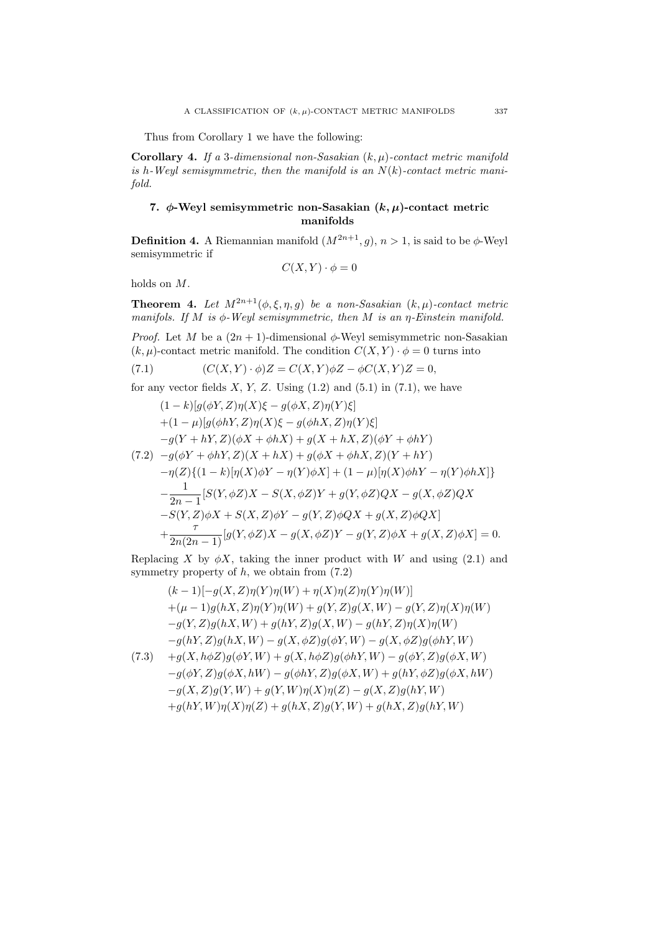Thus from Corollary 1 we have the following:

**Corollary 4.** *If a* 3*-dimensional non-Sasakian* (*k, µ*)*-contact metric manifold is h-Weyl semisymmetric, then the manifold is an N*(*k*)*-contact metric manifold.*

## **7.** *ϕ***-Weyl semisymmetric non-Sasakian (***k, µ***)-contact metric manifolds**

**Definition 4.** A Riemannian manifold  $(M^{2n+1}, g)$ ,  $n > 1$ , is said to be  $\phi$ -Weyl semisymmetric if

$$
C(X,Y) \cdot \phi = 0
$$

holds on *M*.

**Theorem 4.** *Let*  $M^{2n+1}(\phi, \xi, \eta, g)$  *be a non-Sasakian*  $(k, \mu)$ *-contact metric manifols. If M is ϕ-Weyl semisymmetric, then M is an η-Einstein manifold.*

*Proof.* Let *M* be a  $(2n + 1)$ -dimensional  $\phi$ -Weyl semisymmetric non-Sasakian  $(k, \mu)$ -contact metric manifold. The condition  $C(X, Y) \cdot \phi = 0$  turns into

(7.1) 
$$
(C(X,Y)\cdot\phi)Z = C(X,Y)\phi Z - \phi C(X,Y)Z = 0,
$$

for any vector fields  $X, Y, Z$ . Using  $(1.2)$  and  $(5.1)$  in  $(7.1)$ , we have

$$
(1 - k)[g(\phi Y, Z)\eta(X)\xi - g(\phi X, Z)\eta(Y)\xi]
$$
  
+ (1 - \mu)[g(\phi hY, Z)\eta(X)\xi - g(\phi hX, Z)\eta(Y)\xi]  
-g(Y + hY, Z)(\phi X + \phi hX) + g(X + hX, Z)(\phi Y + \phi hY)  
(7.2) - g(\phi Y + \phi hY, Z)(X + hX) + g(\phi X + \phi hX, Z)(Y + hY)  
- \eta(Z)\{(1 - k)[\eta(X)\phi Y - \eta(Y)\phi X] + (1 - \mu)[\eta(X)\phi hY - \eta(Y)\phi hX]\}  
- \frac{1}{2n - 1}[S(Y, \phi Z)X - S(X, \phi Z)Y + g(Y, \phi Z)QX - g(X, \phi Z)QX  
-S(Y, Z)\phi X + S(X, Z)\phi Y - g(Y, Z)\phi QX + g(X, Z)\phi QX]  
+ \frac{\tau}{2n(2n - 1)}[g(Y, \phi Z)X - g(X, \phi Z)Y - g(Y, Z)\phi X + g(X, Z)\phi X] = 0.

Replacing *X* by  $\phi X$ , taking the inner product with *W* and using (2.1) and symmetry property of *h*, we obtain from (7.2)

$$
(k-1)[-g(X, Z)\eta(Y)\eta(W) + \eta(X)\eta(Z)\eta(Y)\eta(W)]
$$
  
+ (\mu - 1)g(hX, Z)\eta(Y)\eta(W) + g(Y, Z)g(X, W) - g(Y, Z)\eta(X)\eta(W)  
-g(Y, Z)g(hX, W) + g(hY, Z)g(X, W) - g(hY, Z)\eta(X)\eta(W)  
-g(hY, Z)g(hX, W) - g(X, \phi Z)g(\phi Y, W) - g(X, \phi Z)g(\phi hY, W)  
(7.3) + g(X, h\phi Z)g(\phi Y, W) + g(X, h\phi Z)g(\phi hY, W) - g(\phi Y, Z)g(\phi X, W)  
-g(\phi Y, Z)g(\phi X, hW) - g(\phi hY, Z)g(\phi X, W) + g(hY, \phi Z)g(\phi X, hW)  
-g(X, Z)g(Y, W) + g(Y, W)\eta(X)\eta(Z) - g(X, Z)g(hY, W)  
+g(hY, W)\eta(X)\eta(Z) + g(hX, Z)g(Y, W) + g(hX, Z)g(hY, W)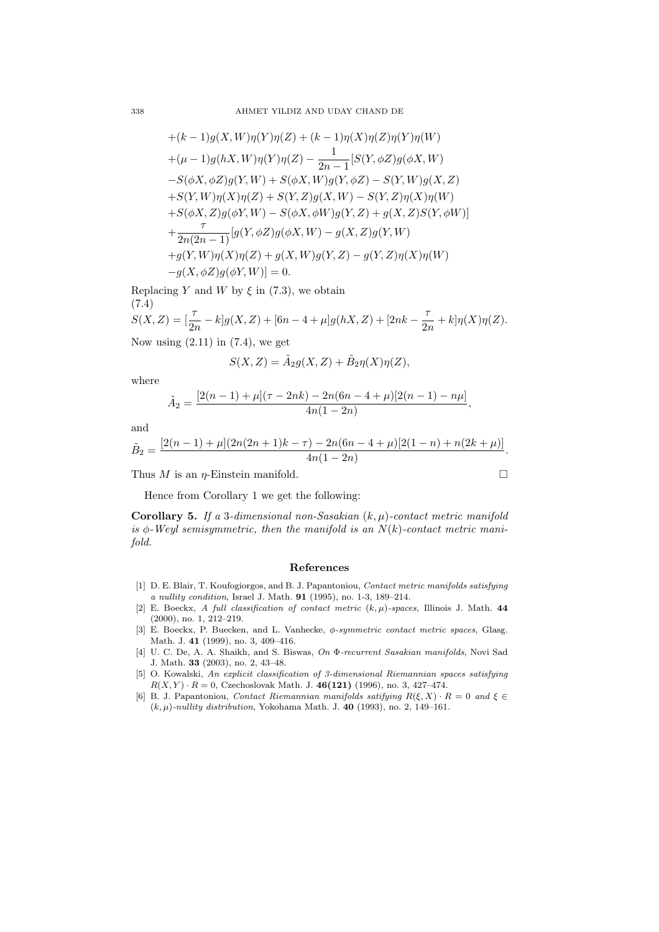+
$$
(k-1)g(X, W)\eta(Y)\eta(Z) + (k-1)\eta(X)\eta(Z)\eta(Y)\eta(W)
$$
  
+ $(\mu - 1)g(hX, W)\eta(Y)\eta(Z) - \frac{1}{2n-1}[S(Y, \phi Z)g(\phi X, W) - S(\phi X, \phi Z)g(Y, W) + S(\phi X, W)g(Y, \phi Z) - S(Y, W)g(X, Z)   
+S(Y, W)\eta(X)\eta(Z) + S(Y, Z)g(X, W) - S(Y, Z)\eta(X)\eta(W)   
+S(\phi X, Z)g(\phi Y, W) - S(\phi X, \phi W)g(Y, Z) + g(X, Z)S(Y, \phi W)   
+ \frac{\tau}{2n(2n-1)}[g(Y, \phi Z)g(\phi X, W) - g(X, Z)g(Y, W)   
+g(Y, W)\eta(X)\eta(Z) + g(X, W)g(Y, Z) - g(Y, Z)\eta(X)\eta(W)   
-g(X, \phi Z)g(\phi Y, W)] = 0.$ 

Replacing *Y* and *W* by  $\xi$  in (7.3), we obtain (7.4)  $S(X, Z) = \frac{7}{2}$ 

$$
S(X, Z) = \left[\frac{\tau}{2n} - k\right]g(X, Z) + \left[6n - 4 + \mu\right]g(hX, Z) + \left[2nk - \frac{\tau}{2n} + k\right]\eta(X)\eta(Z).
$$
  
Now, using (2.11) in (7.4), we get

Now using  $(2.11)$  in  $(7.4)$ , we get

$$
S(X, Z) = \tilde{A}_2 g(X, Z) + \tilde{B}_2 \eta(X) \eta(Z),
$$

where

$$
\tilde{A}_2 = \frac{[2(n-1)+\mu](\tau - 2nk) - 2n(6n - 4 + \mu)[2(n-1) - n\mu]}{4n(1-2n)},
$$

and

$$
\tilde{B}_2=\frac{[2(n-1)+\mu](2n(2n+1)k-\tau)-2n(6n-4+\mu)[2(1-n)+n(2k+\mu)]}{4n(1-2n)}.
$$

Thus *M* is an *η*-Einstein manifold.  $\square$ 

Hence from Corollary 1 we get the following:

**Corollary 5.** *If a* 3*-dimensional non-Sasakian* (*k, µ*)*-contact metric manifold* is  $\phi$ -Weyl semisymmetric, then the manifold is an  $N(k)$ -contact metric mani*fold.*

#### **References**

- [1] D. E. Blair, T. Koufogiorgos, and B. J. Papantoniou, *Contact metric manifolds satisfying a nullity condition*, Israel J. Math. **91** (1995), no. 1-3, 189–214.
- [2] E. Boeckx, *A full classification of contact metric* (*k, µ*)*-spaces*, Illinois J. Math. **44** (2000), no. 1, 212–219.
- [3] E. Boeckx, P. Buecken, and L. Vanhecke, *ϕ-symmetric contact metric spaces*, Glasg. Math. J. **41** (1999), no. 3, 409–416.
- [4] U. C. De, A. A. Shaikh, and S. Biswas, *On* Φ*-recurrent Sasakian manifolds*, Novi Sad J. Math. **33** (2003), no. 2, 43–48.
- [5] O. Kowalski, *An explicit classification of 3-dimensional Riemannian spaces satisfying*  $R(X, Y) \cdot R = 0$ , Czechoslovak Math. J. 46(121) (1996), no. 3, 427–474.
- [6] B. J. Papantoniou, *Contact Riemannian manifolds satifying*  $R(\xi, X) \cdot R = 0$  and  $\xi \in$ (*k, µ*)*-nullity distribution*, Yokohama Math. J. **40** (1993), no. 2, 149–161.